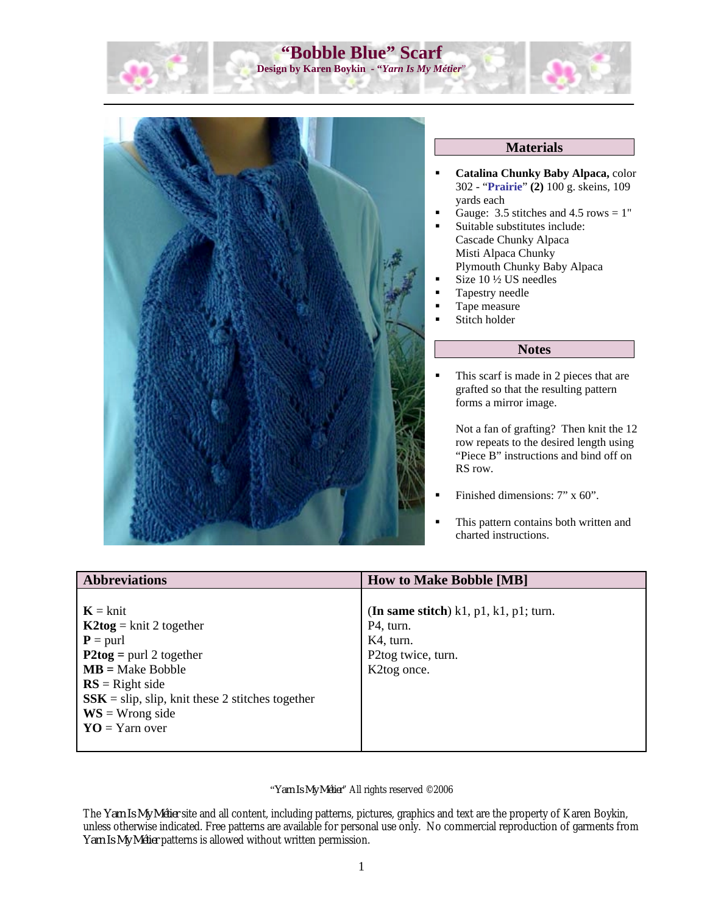



## **Materials**

- **Catalina Chunky Baby Alpaca,** color 302 - "**Prairie**" **(2)** 100 g. skeins, 109 yards each
- Gauge: 3.5 stitches and 4.5 rows  $= 1$ "
- Suitable substitutes include: Cascade Chunky Alpaca Misti Alpaca Chunky Plymouth Chunky Baby Alpaca
- Size 10 ½ US needles
- Tapestry needle
- **Tape measure**
- **Stitch holder**

## **Notes**

 This scarf is made in 2 pieces that are grafted so that the resulting pattern forms a mirror image.

Not a fan of grafting? Then knit the 12 row repeats to the desired length using "Piece B" instructions and bind off on RS row.

- Finished dimensions: 7" x 60".
- This pattern contains both written and charted instructions.

| <b>Abbreviations</b>                               | <b>How to Make Bobble [MB]</b>                     |
|----------------------------------------------------|----------------------------------------------------|
|                                                    |                                                    |
| $K = k$ nit                                        | (In same stitch) $k1$ , $p1$ , $k1$ , $p1$ ; turn. |
| $K2tog = knit 2 together$                          | P <sub>4</sub> , turn.                             |
| $P =$ purl                                         | K4, turn.                                          |
| $P2tog =$ purl 2 together                          | P2tog twice, turn.                                 |
| $MB = Make Bobble$                                 | K2tog once.                                        |
| $RS = Right side$                                  |                                                    |
| $SSK =$ slip, slip, knit these 2 stitches together |                                                    |
| $WS = Wrong side$                                  |                                                    |
| $\mathbf{YO} = \mathbf{Y}$ arn over                |                                                    |
|                                                    |                                                    |

#### "*Yarn Is My Métier*" All rights reserved ©2006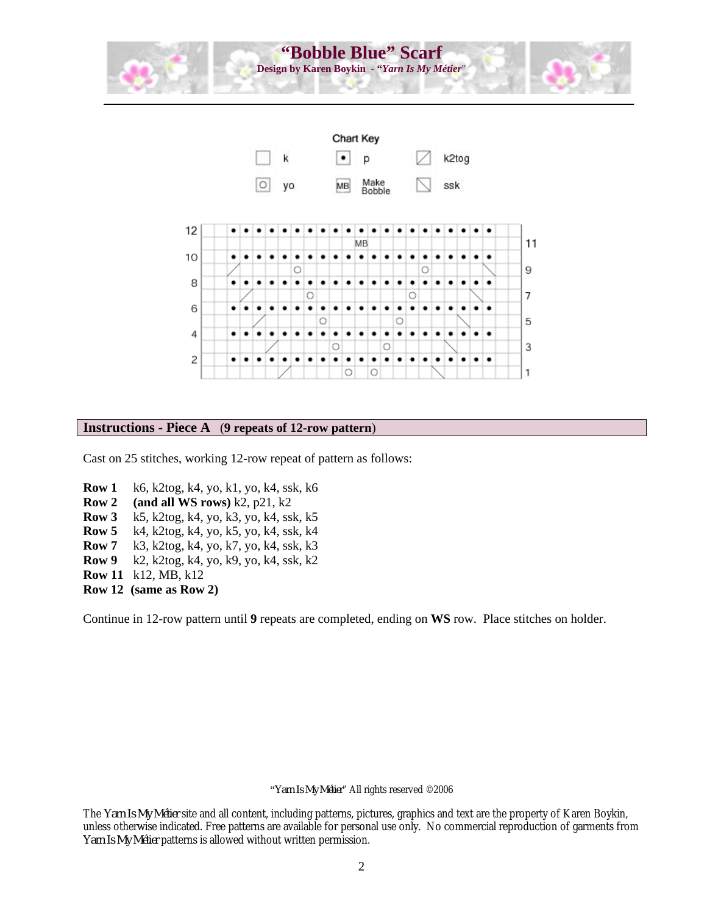



## **Instructions - Piece A** (**9 repeats of 12-row pattern**)

Cast on 25 stitches, working 12-row repeat of pattern as follows:

- **Row 1** k6, k2tog, k4, yo, k1, yo, k4, ssk, k6
- **Row 2 (and all WS rows)** k2, p21, k2
- **Row 3** k5, k2tog, k4, yo, k3, yo, k4, ssk, k5
- **Row 5** k4, k2tog, k4, yo, k5, yo, k4, ssk, k4
- **Row 7** k3, k2tog, k4, yo, k7, yo, k4, ssk, k3
- **Row 9** k2, k2tog, k4, yo, k9, yo, k4, ssk, k2
- **Row 11** k12, MB, k12
- **Row 12 (same as Row 2)**

Continue in 12-row pattern until **9** repeats are completed, ending on **WS** row. Place stitches on holder.

#### "*Yarn Is My Métier*" All rights reserved ©2006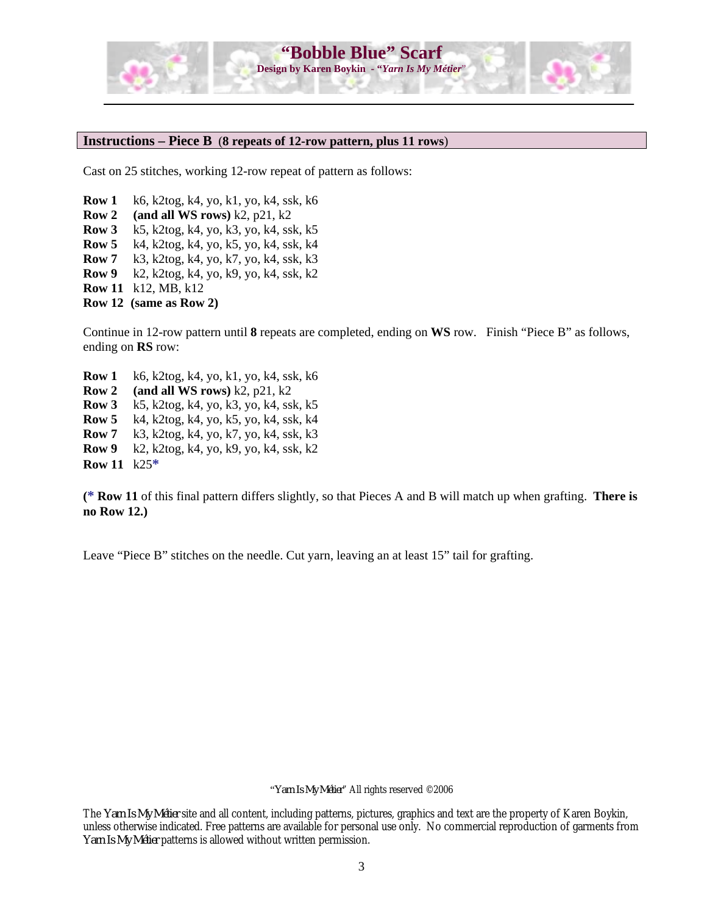

#### **Instructions – Piece B** (**8 repeats of 12-row pattern, plus 11 rows**)

Cast on 25 stitches, working 12-row repeat of pattern as follows:

**Row 1** k6, k2tog, k4, yo, k1, yo, k4, ssk, k6 **Row 2 (and all WS rows)** k2, p21, k2 **Row 3** k5, k2tog, k4, yo, k3, yo, k4, ssk, k5 **Row 5** k4, k2tog, k4, yo, k5, yo, k4, ssk, k4 **Row 7** k3, k2tog, k4, yo, k7, yo, k4, ssk, k3 **Row 9** k2, k2tog, k4, yo, k9, yo, k4, ssk, k2 **Row 11** k12, MB, k12 **Row 12 (same as Row 2)**

Continue in 12-row pattern until **8** repeats are completed, ending on **WS** row. Finish "Piece B" as follows, ending on **RS** row:

**Row 1** k6, k2tog, k4, yo, k1, yo, k4, ssk, k6 **Row 2 (and all WS rows)** k2, p21, k2 **Row 3** k5, k2tog, k4, yo, k3, yo, k4, ssk, k5 **Row 5** k4, k2tog, k4, yo, k5, yo, k4, ssk, k4 **Row 7** k3, k2tog, k4, yo, k7, yo, k4, ssk, k3 **Row 9** k2, k2tog, k4, yo, k9, yo, k4, ssk, k2 **Row 11** k25**\***

**(\* Row 11** of this final pattern differs slightly, so that Pieces A and B will match up when grafting. **There is no Row 12.)** 

Leave "Piece B" stitches on the needle. Cut yarn, leaving an at least 15" tail for grafting.

"*Yarn Is My Métier*" All rights reserved ©2006